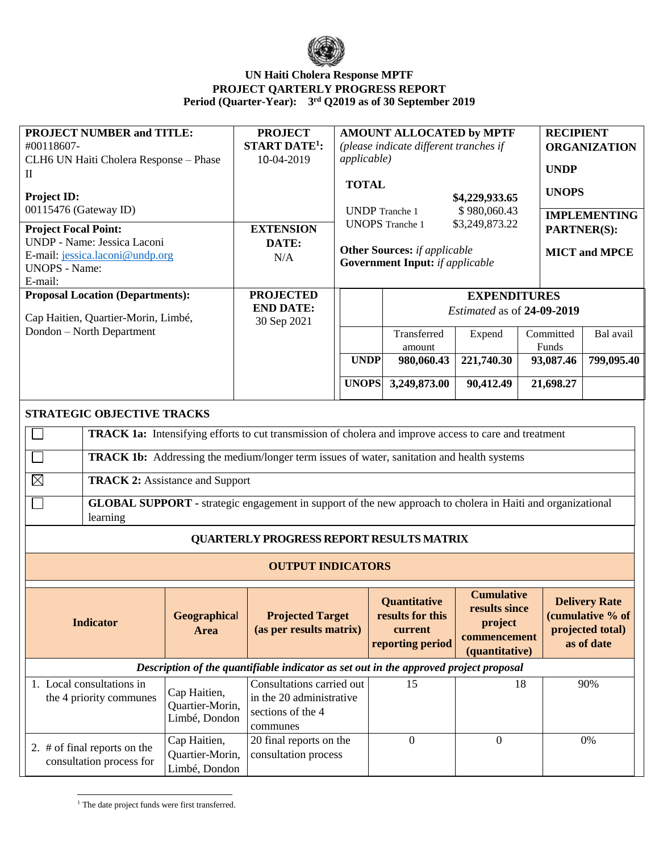

## **UN Haiti Cholera Response MPTF PROJECT QARTERLY PROGRESS REPORT Period (Quarter-Year): 3 rd Q2019 as of 30 September 2019**

| <b>PROJECT NUMBER and TITLE:</b><br>#00118607-<br>CLH6 UN Haiti Cholera Response - Phase<br>$\mathbf{I}$<br><b>Project ID:</b><br>00115476 (Gateway ID)<br><b>Project Focal Point:</b><br><b>UNDP</b> - Name: Jessica Laconi<br>E-mail: jessica.laconi@undp.org<br><b>UNOPS</b> - Name:<br>E-mail:<br><b>Proposal Location (Departments):</b><br>Cap Haitien, Quartier-Morin, Limbé,<br>Dondon - North Department                                         |  |                                                  | <b>PROJECT</b><br><b>START DATE<sup>1</sup>:</b><br>10-04-2019<br><b>EXTENSION</b><br>DATE:<br>N/A<br><b>PROJECTED</b><br><b>END DATE:</b><br>30 Sep 2021 | <i>applicable</i> )<br><b>TOTAL</b> |          | <b>AMOUNT ALLOCATED by MPTF</b><br>(please indicate different tranches if<br><b>UNDP</b> Tranche 1<br><b>UNOPS</b> Tranche 1<br><b>Other Sources:</b> if applicable<br><b>Government Input:</b> if applicable<br>Transferred<br>amount | \$4,229,933.65<br>\$980,060.43<br>\$3,249,873.22<br><b>EXPENDITURES</b><br>Estimated as of 24-09-2019<br>Expend |    | <b>RECIPIENT</b><br><b>UNDP</b><br><b>UNOPS</b><br><b>PARTNER(S):</b><br>Committed<br>Funds | <b>ORGANIZATION</b><br><b>IMPLEMENTING</b><br><b>MICT</b> and <b>MPCE</b><br>Bal avail |
|-----------------------------------------------------------------------------------------------------------------------------------------------------------------------------------------------------------------------------------------------------------------------------------------------------------------------------------------------------------------------------------------------------------------------------------------------------------|--|--------------------------------------------------|-----------------------------------------------------------------------------------------------------------------------------------------------------------|-------------------------------------|----------|----------------------------------------------------------------------------------------------------------------------------------------------------------------------------------------------------------------------------------------|-----------------------------------------------------------------------------------------------------------------|----|---------------------------------------------------------------------------------------------|----------------------------------------------------------------------------------------|
|                                                                                                                                                                                                                                                                                                                                                                                                                                                           |  |                                                  |                                                                                                                                                           | <b>UNDP</b>                         |          | 980,060.43                                                                                                                                                                                                                             | 221,740.30                                                                                                      |    | 93,087.46                                                                                   | 799,095.40                                                                             |
|                                                                                                                                                                                                                                                                                                                                                                                                                                                           |  |                                                  |                                                                                                                                                           | <b>UNOPS</b>                        |          | 3,249,873.00                                                                                                                                                                                                                           | 90,412.49                                                                                                       |    | 21,698.27                                                                                   |                                                                                        |
| <b>TRACK 1a:</b> Intensifying efforts to cut transmission of cholera and improve access to care and treatment<br>TRACK 1b: Addressing the medium/longer term issues of water, sanitation and health systems<br>$\boxtimes$<br><b>TRACK 2: Assistance and Support</b><br><b>GLOBAL SUPPORT</b> - strategic engagement in support of the new approach to cholera in Haiti and organizational<br>learning<br><b>QUARTERLY PROGRESS REPORT RESULTS MATRIX</b> |  |                                                  |                                                                                                                                                           |                                     |          |                                                                                                                                                                                                                                        |                                                                                                                 |    |                                                                                             |                                                                                        |
|                                                                                                                                                                                                                                                                                                                                                                                                                                                           |  |                                                  | <b>OUTPUT INDICATORS</b>                                                                                                                                  |                                     |          |                                                                                                                                                                                                                                        |                                                                                                                 |    |                                                                                             |                                                                                        |
| <b>Indicator</b>                                                                                                                                                                                                                                                                                                                                                                                                                                          |  | Geographical<br><b>Area</b>                      | <b>Projected Target</b><br>(as per results matrix)                                                                                                        |                                     |          | Quantitative<br>results for this<br>current<br>reporting period                                                                                                                                                                        | <b>Cumulative</b><br>results since<br>project<br>commencement<br>(quantitative)                                 |    |                                                                                             | <b>Delivery Rate</b><br>(cumulative % of<br>projected total)<br>as of date             |
|                                                                                                                                                                                                                                                                                                                                                                                                                                                           |  |                                                  | Description of the quantifiable indicator as set out in the approved project proposal                                                                     |                                     |          |                                                                                                                                                                                                                                        |                                                                                                                 |    |                                                                                             |                                                                                        |
| 1. Local consultations in<br>the 4 priority communes                                                                                                                                                                                                                                                                                                                                                                                                      |  | Cap Haitien,<br>Quartier-Morin,<br>Limbé, Dondon | Consultations carried out<br>in the 20 administrative<br>sections of the 4<br>communes                                                                    |                                     |          | 15                                                                                                                                                                                                                                     |                                                                                                                 | 18 |                                                                                             | 90%                                                                                    |
| Cap Haitien,<br>2. # of final reports on the<br>Quartier-Morin,<br>consultation process for<br>Limbé, Dondon                                                                                                                                                                                                                                                                                                                                              |  | 20 final reports on the<br>consultation process  |                                                                                                                                                           |                                     | $\Omega$ | $\overline{0}$                                                                                                                                                                                                                         |                                                                                                                 |    | 0%                                                                                          |                                                                                        |

 $\overline{a}$ <sup>1</sup> The date project funds were first transferred.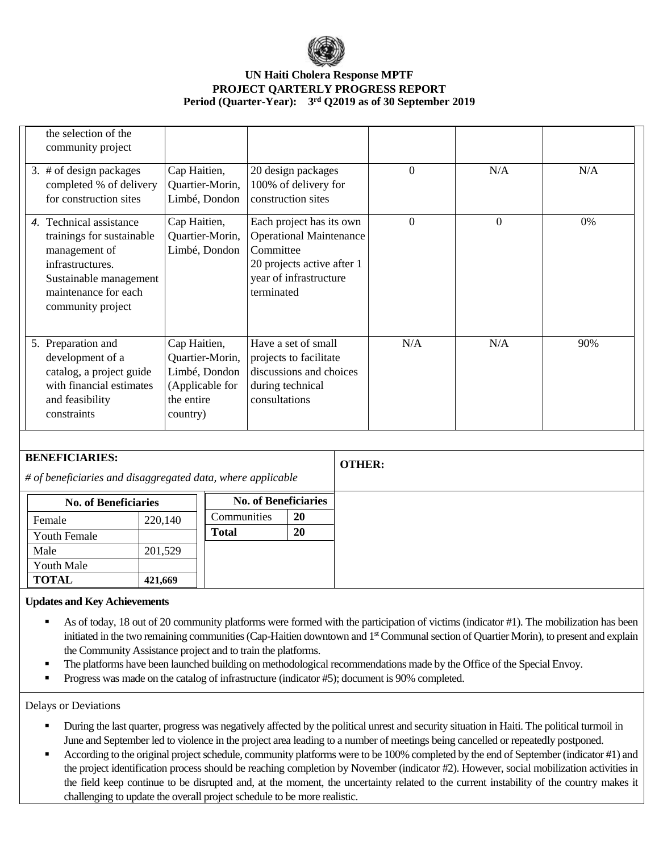

### **UN Haiti Cholera Response MPTF PROJECT QARTERLY PROGRESS REPORT Period (Quarter-Year): 3 rd Q2019 as of 30 September 2019**

| the selection of the<br>community project                                                                                                                        |                                                                                               |                                                                                                                                               |          |              |     |
|------------------------------------------------------------------------------------------------------------------------------------------------------------------|-----------------------------------------------------------------------------------------------|-----------------------------------------------------------------------------------------------------------------------------------------------|----------|--------------|-----|
| 3. # of design packages<br>completed % of delivery<br>for construction sites                                                                                     | Cap Haitien,<br>Quartier-Morin,<br>Limbé, Dondon                                              | 20 design packages<br>100% of delivery for<br>construction sites                                                                              | 0        | N/A          | N/A |
| 4. Technical assistance<br>trainings for sustainable<br>management of<br>infrastructures.<br>Sustainable management<br>maintenance for each<br>community project | Cap Haitien,<br>Quartier-Morin,<br>Limbé, Dondon                                              | Each project has its own<br><b>Operational Maintenance</b><br>Committee<br>20 projects active after 1<br>year of infrastructure<br>terminated | $\Omega$ | $\mathbf{0}$ | 0%  |
| 5. Preparation and<br>development of a<br>catalog, a project guide<br>with financial estimates<br>and feasibility<br>constraints                                 | Cap Haitien,<br>Quartier-Morin,<br>Limbé, Dondon<br>(Applicable for<br>the entire<br>country) | Have a set of small<br>projects to facilitate<br>discussions and choices<br>during technical<br>consultations                                 | N/A      | N/A          | 90% |

| <b>BENEFICIARIES:</b>                                         |         |                             |           | <b>OTHER:</b> |
|---------------------------------------------------------------|---------|-----------------------------|-----------|---------------|
| $#$ of beneficiaries and disaggregated data, where applicable |         |                             |           |               |
| <b>No. of Beneficiaries</b>                                   |         | <b>No. of Beneficiaries</b> |           |               |
| Female                                                        | 220,140 | Communities                 | <b>20</b> |               |
| <b>Youth Female</b>                                           |         | <b>Total</b>                | 20        |               |
| Male                                                          | 201,529 |                             |           |               |
| Youth Male                                                    |         |                             |           |               |
| <b>TOTAL</b>                                                  | 421,669 |                             |           |               |

#### **Updates and Key Achievements**

- As of today, 18 out of 20 community platforms were formed with the participation of victims (indicator #1). The mobilization has been initiated in the two remaining communities (Cap-Haitien downtown and 1<sup>st</sup> Communal section of Quartier Morin), to present and explain the Community Assistance project and to train the platforms.
- The platforms have been launched building on methodological recommendations made by the Office of the Special Envoy.
- **•** Progress was made on the catalog of infrastructure (indicator #5); document is 90% completed.

Delays or Deviations

- During the last quarter, progress was negatively affected by the political unrest and security situation in Haiti. The political turmoil in June and September led to violence in the project area leading to a number of meetings being cancelled or repeatedly postponed.
- According to the original project schedule, community platforms were to be 100% completed by the end of September (indicator #1) and the project identification process should be reaching completion by November (indicator #2). However, social mobilization activities in the field keep continue to be disrupted and, at the moment, the uncertainty related to the current instability of the country makes it challenging to update the overall project schedule to be more realistic.